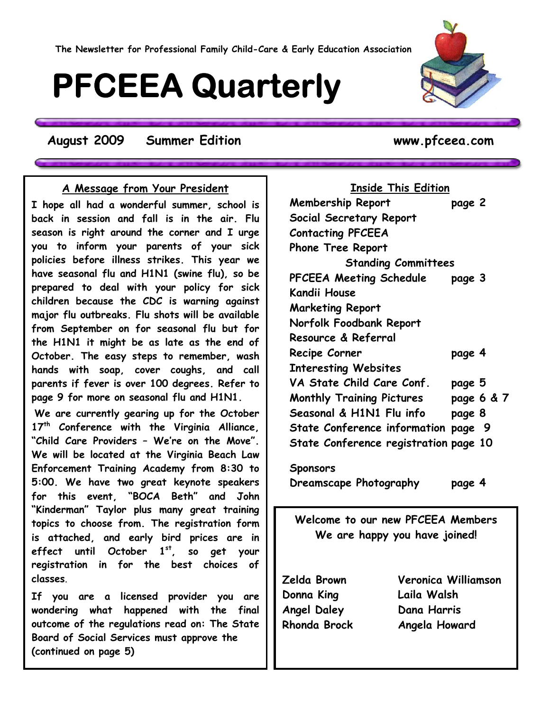# **PFCEEA Quarterly**

**August 2009 Summer Edition www.pfceea.com**

#### **A Message from Your President**

**I hope all had a wonderful summer, school is back in session and fall is in the air. Flu season is right around the corner and I urge you to inform your parents of your sick policies before illness strikes. This year we have seasonal flu and H1N1 (swine flu), so be prepared to deal with your policy for sick children because the CDC is warning against major flu outbreaks. Flu shots will be available from September on for seasonal flu but for the H1N1 it might be as late as the end of October. The easy steps to remember, wash hands with soap, cover coughs, and call parents if fever is over 100 degrees. Refer to page 9 for more on seasonal flu and H1N1.** 

**We are currently gearing up for the October 17th Conference with the Virginia Alliance, "Child Care Providers – We're on the Move". We will be located at the Virginia Beach Law Enforcement Training Academy from 8:30 to 5:00. We have two great keynote speakers for this event, "BOCA Beth" and John "Kinderman" Taylor plus many great training topics to choose from. The registration form is attached, and early bird prices are in effect until October 1st, so get your registration in for the best choices of classes**.

**If you are a licensed provider you are wondering what happened with the final outcome of the regulations read on: The State Board of Social Services must approve the (continued on page 5)**

**Inside This Edition Membership Report page 2 Social Secretary Report Contacting PFCEEA Phone Tree Report Standing Committees PFCEEA Meeting Schedule page 3 Kandii House Marketing Report Norfolk Foodbank Report Resource & Referral Recipe Corner page 4 Interesting Websites VA State Child Care Conf. page 5 Monthly Training Pictures page 6 & 7 Seasonal & H1N1 Flu info page 8 State Conference information page 9 State Conference registration page 10** 

**Sponsors Dreamscape Photography page 4** 

**Welcome to our new PFCEEA Members We are happy you have joined!** 

**Donna King Laila Walsh Angel Daley Dana Harris** 

**Zelda Brown Veronica Williamson Rhonda Brock Angela Howard** 

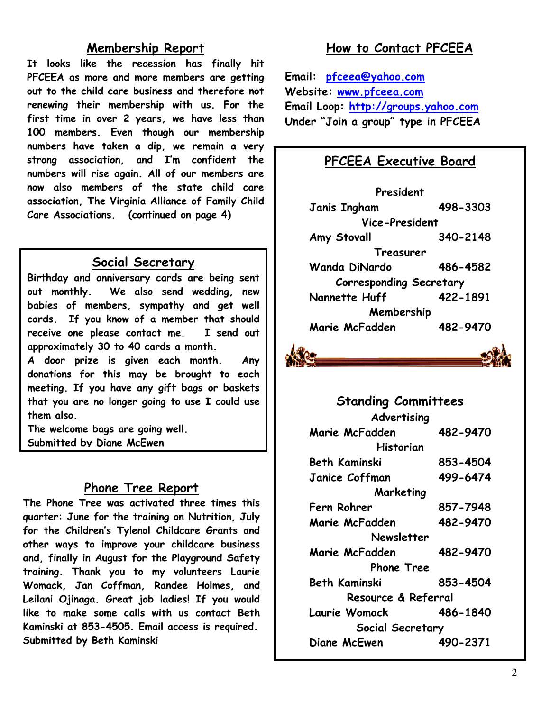#### **Membership Report**

**It looks like the recession has finally hit PFCEEA as more and more members are getting out to the child care business and therefore not renewing their membership with us. For the first time in over 2 years, we have less than 100 members. Even though our membership numbers have taken a dip, we remain a very strong association, and I'm confident the numbers will rise again. All of our members are now also members of the state child care association, The Virginia Alliance of Family Child Care Associations. (continued on page 4)** 

#### **Social Secretary**

**Birthday and anniversary cards are being sent out monthly. We also send wedding, new babies of members, sympathy and get well cards. If you know of a member that should receive one please contact me. I send out approximately 30 to 40 cards a month.** 

**A door prize is given each month. Any donations for this may be brought to each meeting. If you have any gift bags or baskets that you are no longer going to use I could use them also.** 

**The welcome bags are going well. Submitted by Diane McEwen**

#### **Phone Tree Report**

**The Phone Tree was activated three times this quarter: June for the training on Nutrition, July for the Children's Tylenol Childcare Grants and other ways to improve your childcare business and, finally in August for the Playground Safety training. Thank you to my volunteers Laurie Womack, Jan Coffman, Randee Holmes, and Leilani Ojinaga. Great job ladies! If you would like to make some calls with us contact Beth Kaminski at 853-4505. Email access is required. Submitted by Beth Kaminski** 

## **How to Contact PFCEEA**

**Email: [pfceea@yahoo.com](mailto:pfceea@yahoo.com) Website: [www.pfceea.com](http://www.pfceea.com/) Email Loop: [http://groups.yahoo.com](http://groups.yahoo.com/) Under "Join a group" type in PFCEEA** 

### **PFCEEA Executive Board**

**President Janis Ingham 498-3303 Vice-President Amy Stovall 340-2148 Treasurer Wanda DiNardo 486-4582 Corresponding Secretary Nannette Huff 422-1891 Membership Marie McFadden 482-9470** 



**Standing Committees Advertising Marie McFadden 482-9470 Historian Beth Kaminski 853-4504 Janice Coffman 499-6474 Marketing Fern Rohrer 857-7948 Marie McFadden 482-9470 Newsletter Marie McFadden 482-9470 Phone Tree Beth Kaminski 853-4504 Resource & Referral Laurie Womack 486-1840 Social Secretary Diane McEwen 490-2371**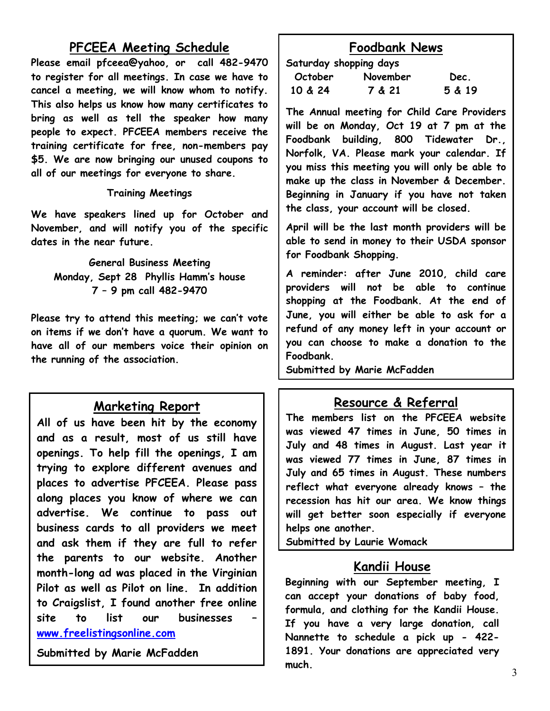# **PFCEEA Meeting Schedule**

**Please email pfceea@yahoo, or call 482-9470 to register for all meetings. In case we have to cancel a meeting, we will know whom to notify. This also helps us know how many certificates to bring as well as tell the speaker how many people to expect. PFCEEA members receive the training certificate for free, non-members pay \$5. We are now bringing our unused coupons to all of our meetings for everyone to share.** 

#### **Training Meetings**

**We have speakers lined up for October and November, and will notify you of the specific dates in the near future.** 

**General Business Meeting Monday, Sept 28 Phyllis Hamm's house 7 – 9 pm call 482-9470** 

**Please try to attend this meeting; we can't vote on items if we don't have a quorum. We want to have all of our members voice their opinion on the running of the association.** 

#### **Marketing Report**

**All of us have been hit by the economy and as a result, most of us still have openings. To help fill the openings, I am trying to explore different avenues and places to advertise PFCEEA. Please pass along places you know of where we can advertise. We continue to pass out business cards to all providers we meet and ask them if they are full to refer the parents to our website. Another month-long ad was placed in the Virginian Pilot as well as Pilot on line. In addition to Craigslist, I found another free online**  site to list our businesses **[www.freelistingsonline.com](http://www.freelistingsonline.com/)**

**Submitted by Marie McFadden** 

# **Foodbank News**

**Saturday shopping days** 

| October | November | Dec.   |
|---------|----------|--------|
| 10 & 24 | 7 & 21   | 5 & 19 |

**The Annual meeting for Child Care Providers will be on Monday, Oct 19 at 7 pm at the Foodbank building, 800 Tidewater Dr., Norfolk, VA. Please mark your calendar. If you miss this meeting you will only be able to make up the class in November & December. Beginning in January if you have not taken the class, your account will be closed.** 

**April will be the last month providers will be able to send in money to their USDA sponsor for Foodbank Shopping.** 

**A reminder: after June 2010, child care providers will not be able to continue shopping at the Foodbank. At the end of June, you will either be able to ask for a refund of any money left in your account or you can choose to make a donation to the Foodbank.** 

**Submitted by Marie McFadden**

# **Resource & Referral**

**The members list on the PFCEEA website was viewed 47 times in June, 50 times in July and 48 times in August. Last year it was viewed 77 times in June, 87 times in July and 65 times in August. These numbers reflect what everyone already knows – the recession has hit our area. We know things will get better soon especially if everyone helps one another.** 

**Submitted by Laurie Womack**

#### **Kandii House**

**Beginning with our September meeting, I can accept your donations of baby food, formula, and clothing for the Kandii House. If you have a very large donation, call Nannette to schedule a pick up - 422- 1891. Your donations are appreciated very much.**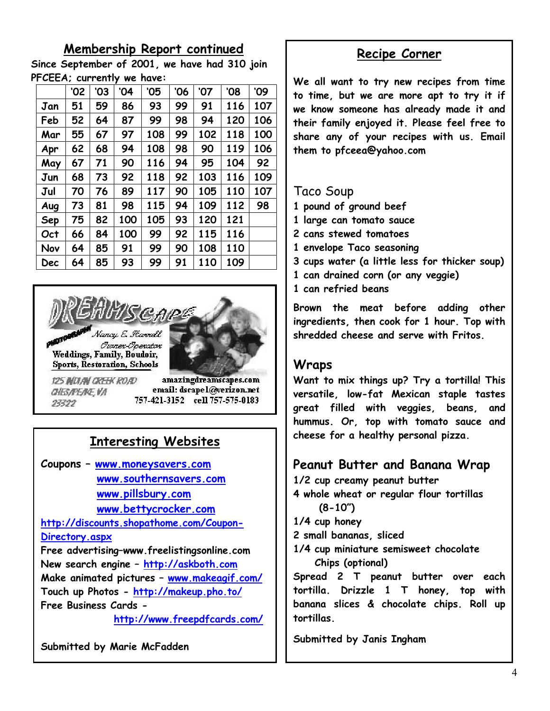### **Membership Report continued**

**Since September of 2001, we have had 310 join PFCEEA; currently we have:** 

|            | '02 | '03 | '04 | '05 | '06 | '07 | '08 | '09 |
|------------|-----|-----|-----|-----|-----|-----|-----|-----|
| Jan        | 51  | 59  | 86  | 93  | 99  | 91  | 116 | 107 |
| Feb        | 52  | 64  | 87  | 99  | 98  | 94  | 120 | 106 |
| Mar        | 55  | 67  | 97  | 108 | 99  | 102 | 118 | 100 |
| Apr        | 62  | 68  | 94  | 108 | 98  | 90  | 119 | 106 |
| May        | 67  | 71  | 90  | 116 | 94  | 95  | 104 | 92  |
| Jun        | 68  | 73  | 92  | 118 | 92  | 103 | 116 | 109 |
| Jul        | 70  | 76  | 89  | 117 | 90  | 105 | 110 | 107 |
| Aug        | 73  | 81  | 98  | 115 | 94  | 109 | 112 | 98  |
| <b>Sep</b> | 75  | 82  | 100 | 105 | 93  | 120 | 121 |     |
| Oct        | 66  | 84  | 100 | 99  | 92  | 115 | 116 |     |
| Nov        | 64  | 85  | 91  | 99  | 90  | 108 | 110 |     |
| Dec        | 64  | 85  | 93  | 99  | 91  | 110 | 109 |     |



# **Interesting Websites**

**Coupons – [www.moneysavers.com](http://www.moneysavers.com/) [www.southernsavers.com](http://www.southernsavers.com/) [www.pillsbury.com](http://www.pillsbury.com/) [www.bettycrocker.com](http://www.bettycrocker.com/)** 

**[http://discounts.shopathome.com/Coupon-](http://discounts.shopathome.com/Coupon-Directory.aspx)[Directory.aspx](http://discounts.shopathome.com/Coupon-Directory.aspx)**

**Free advertising–www.freelistingsonline.com New search engine – [http://askboth.com](http://askboth.com/) Make animated pictures – [www.makeagif.com/](http://www.makeagif.com/) Touch up Photos -<http://makeup.pho.to/> Free Business Cards -** 

 **<http://www.freepdfcards.com/>**

**Submitted by Marie McFadden** 

### **Recipe Corner**

**We all want to try new recipes from time to time, but we are more apt to try it if we know someone has already made it and their family enjoyed it. Please feel free to share any of your recipes with us. Email them to pfceea@yahoo.com** 

#### Taco Soup

- **1 pound of ground beef**
- **1 large can tomato sauce**
- **2 cans stewed tomatoes**
- **1 envelope Taco seasoning**
- **3 cups water (a little less for thicker soup)**
- **1 can drained corn (or any veggie)**
- **1 can refried beans**

**Brown the meat before adding other ingredients, then cook for 1 hour. Top with shredded cheese and serve with Fritos.** 

# **Wraps**

**Want to mix things up? Try a tortilla! This versatile, low-fat Mexican staple tastes great filled with veggies, beans, and hummus. Or, top with tomato sauce and cheese for a healthy personal pizza.** 

# **Peanut Butter and Banana Wrap**

**1/2 cup creamy peanut butter** 

- **4 whole wheat or regular flour tortillas (8-10")**
- **1/4 cup honey**
- **2 small bananas, sliced**
- **1/4 cup miniature semisweet chocolate Chips (optional)**

**Spread 2 T peanut butter over each tortilla. Drizzle 1 T honey, top with banana slices & chocolate chips. Roll up tortillas.** 

**Submitted by Janis Ingham**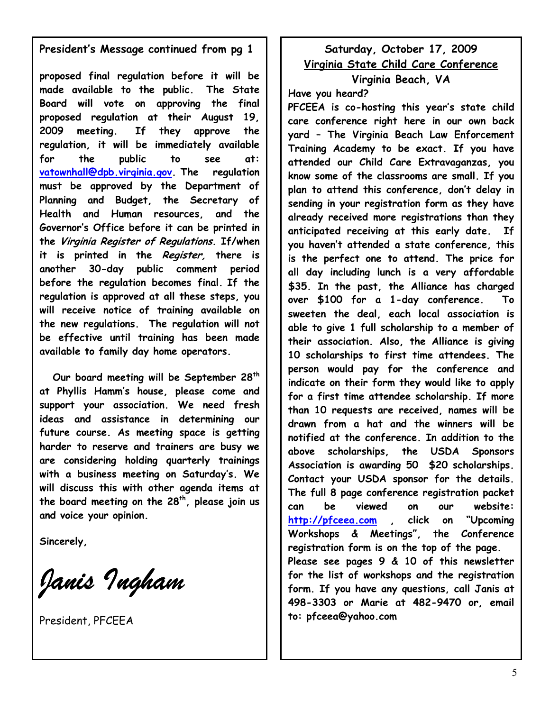#### **President's Message continued from pg 1**

**proposed final regulation before it will be made available to the public. The State Board will vote on approving the final proposed regulation at their August 19, 2009 meeting. If they approve the regulation, it will be immediately available for the public to see at: [vatownhall@dpb.virginia.gov.](mailto:vatownhall@dpb.virginia.gov) The regulation must be approved by the Department of Planning and Budget, the Secretary of Health and Human resources, and the Governor's Office before it can be printed in the Virginia Register of Regulations. If/when it is printed in the Register, there is another 30-day public comment period before the regulation becomes final. If the regulation is approved at all these steps, you will receive notice of training available on the new regulations. The regulation will not be effective until training has been made available to family day home operators.** 

 **Our board meeting will be September 28th at Phyllis Hamm's house, please come and support your association. We need fresh ideas and assistance in determining our future course. As meeting space is getting harder to reserve and trainers are busy we are considering holding quarterly trainings with a business meeting on Saturday's. We will discuss this with other agenda items at the board meeting on the 28th, please join us and voice your opinion.** 

**Sincerely,** 

*Janis Ingham*

President, PFCEEA

#### **Saturday, October 17, 2009 Virginia State Child Care Conference Virginia Beach, VA**

**Have you heard?** 

**PFCEEA is co-hosting this year's state child care conference right here in our own back yard – The Virginia Beach Law Enforcement Training Academy to be exact. If you have attended our Child Care Extravaganzas, you know some of the classrooms are small. If you plan to attend this conference, don't delay in sending in your registration form as they have already received more registrations than they anticipated receiving at this early date. If you haven't attended a state conference, this is the perfect one to attend. The price for all day including lunch is a very affordable \$35. In the past, the Alliance has charged over \$100 for a 1-day conference. To sweeten the deal, each local association is able to give 1 full scholarship to a member of their association. Also, the Alliance is giving 10 scholarships to first time attendees. The person would pay for the conference and indicate on their form they would like to apply for a first time attendee scholarship. If more than 10 requests are received, names will be drawn from a hat and the winners will be notified at the conference. In addition to the above scholarships, the USDA Sponsors Association is awarding 50 \$20 scholarships. Contact your USDA sponsor for the details. The full 8 page conference registration packet can be viewed on our website: [http://pfceea.com](http://pfceea.com/) , click on "Upcoming Workshops & Meetings", the Conference registration form is on the top of the page. Please see pages 9 & 10 of this newsletter for the list of workshops and the registration form. If you have any questions, call Janis at 498-3303 or Marie at 482-9470 or, email to: pfceea@yahoo.com**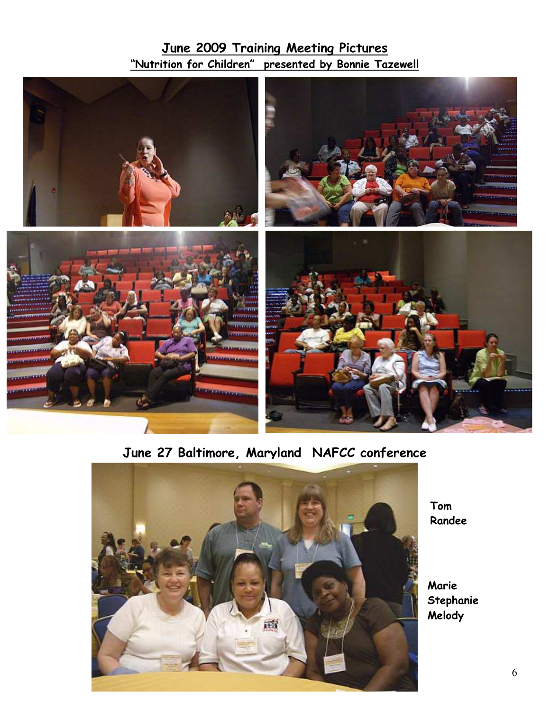# **June 2009 Training Meeting Pictures "Nutrition for Children" presented by Bonnie Tazewell**



# **June 27 Baltimore, Maryland NAFCC conference**



**Tom Randee** 

**Marie Stephanie Melody**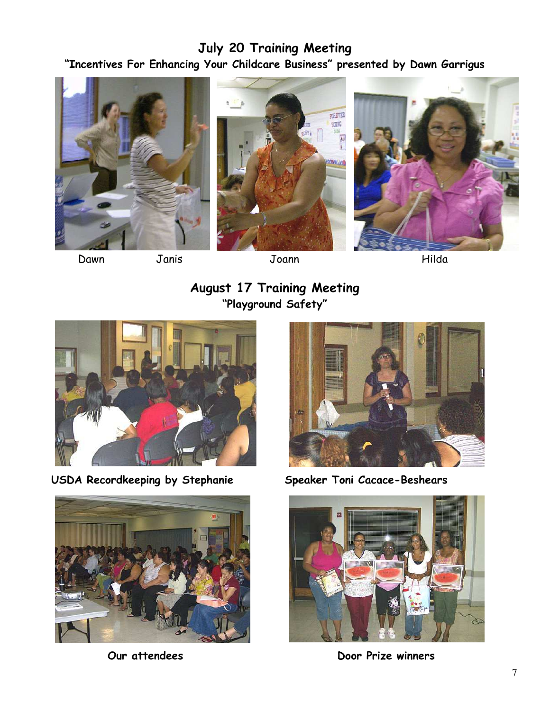# **July 20 Training Meeting "Incentives For Enhancing Your Childcare Business" presented by Dawn Garrigus**







Dawn Janis Joann Hilda

**August 17 Training Meeting "Playground Safety"** 



USDA Recordkeeping by Stephanie **Speaker Toni Cacace-Beshears** 







*Our* **attendees Door Prize winners**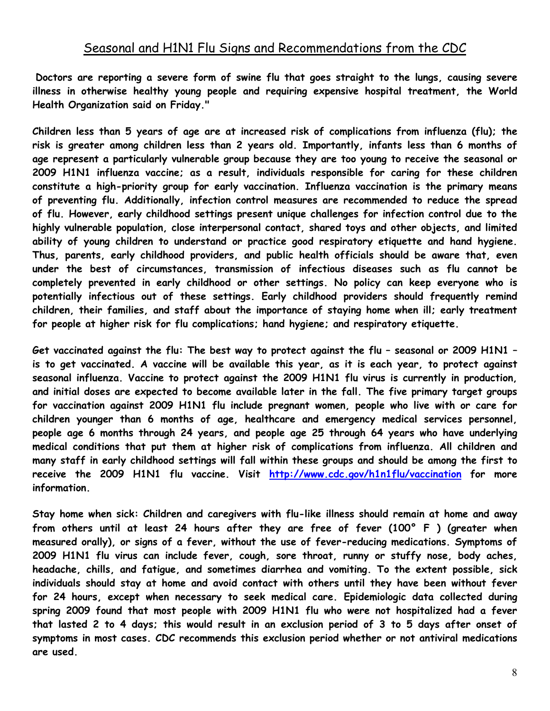**Doctors are reporting a severe form of swine flu that goes straight to the lungs, causing severe illness in otherwise healthy young people and requiring expensive hospital treatment, the World Health Organization said on Friday."** 

**Children less than 5 years of age are at increased risk of complications from influenza (flu); the risk is greater among children less than 2 years old. Importantly, infants less than 6 months of age represent a particularly vulnerable group because they are too young to receive the seasonal or 2009 H1N1 influenza vaccine; as a result, individuals responsible for caring for these children constitute a high-priority group for early vaccination. Influenza vaccination is the primary means of preventing flu. Additionally, infection control measures are recommended to reduce the spread of flu. However, early childhood settings present unique challenges for infection control due to the highly vulnerable population, close interpersonal contact, shared toys and other objects, and limited ability of young children to understand or practice good respiratory etiquette and hand hygiene. Thus, parents, early childhood providers, and public health officials should be aware that, even under the best of circumstances, transmission of infectious diseases such as flu cannot be completely prevented in early childhood or other settings. No policy can keep everyone who is potentially infectious out of these settings. Early childhood providers should frequently remind children, their families, and staff about the importance of staying home when ill; early treatment for people at higher risk for flu complications; hand hygiene; and respiratory etiquette.** 

**Get vaccinated against the flu: The best way to protect against the flu – seasonal or 2009 H1N1 – is to get vaccinated. A vaccine will be available this year, as it is each year, to protect against seasonal influenza. Vaccine to protect against the 2009 H1N1 flu virus is currently in production, and initial doses are expected to become available later in the fall. The five primary target groups for vaccination against 2009 H1N1 flu include pregnant women, people who live with or care for children younger than 6 months of age, healthcare and emergency medical services personnel, people age 6 months through 24 years, and people age 25 through 64 years who have underlying medical conditions that put them at higher risk of complications from influenza. All children and many staff in early childhood settings will fall within these groups and should be among the first to receive the 2009 H1N1 flu vaccine. Visit <http://www.cdc.gov/h1n1flu/vaccination>for more information.** 

**Stay home when sick: Children and caregivers with flu-like illness should remain at home and away from others until at least 24 hours after they are free of fever (100° F ) (greater when measured orally), or signs of a fever, without the use of fever-reducing medications. Symptoms of 2009 H1N1 flu virus can include fever, cough, sore throat, runny or stuffy nose, body aches, headache, chills, and fatigue, and sometimes diarrhea and vomiting. To the extent possible, sick individuals should stay at home and avoid contact with others until they have been without fever for 24 hours, except when necessary to seek medical care. Epidemiologic data collected during spring 2009 found that most people with 2009 H1N1 flu who were not hospitalized had a fever that lasted 2 to 4 days; this would result in an exclusion period of 3 to 5 days after onset of symptoms in most cases. CDC recommends this exclusion period whether or not antiviral medications are used.**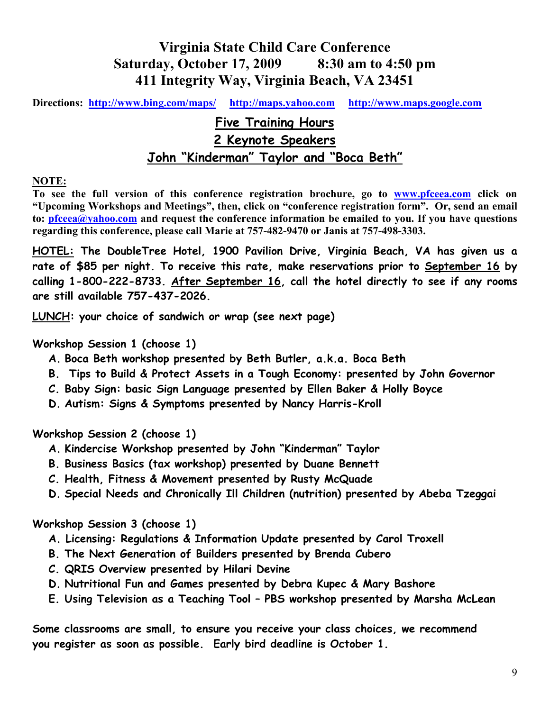# **Virginia State Child Care Conference Saturday, October 17, 2009 8:30 am to 4:50 pm 411 Integrity Way, Virginia Beach, VA 23451**

**Directions: <http://www.bing.com/maps/> [http://maps.yahoo.com](http://maps.yahoo.com/) [http://www.maps.google.com](http://www.maps.google.com/)**

# **Five Training Hours 2 Keynote Speakers John "Kinderman" Taylor and "Boca Beth"**

#### **NOTE:**

**To see the full version of this conference registration brochure, go to [www.pfceea.com](http://www.pfceea.com/) click on "Upcoming Workshops and Meetings", then, click on "conference registration form". Or, send an email to: [pfceea@yahoo.com](mailto:pfceea@yahoo.com) and request the conference information be emailed to you. If you have questions regarding this conference, please call Marie at 757-482-9470 or Janis at 757-498-3303.** 

**HOTEL: The DoubleTree Hotel, 1900 Pavilion Drive, Virginia Beach, VA has given us a rate of \$85 per night. To receive this rate, make reservations prior to September 16 by calling 1-800-222-8733. After September 16, call the hotel directly to see if any rooms are still available 757-437-2026.** 

**LUNCH: your choice of sandwich or wrap (see next page)** 

#### **Workshop Session 1 (choose 1)**

- **A. Boca Beth workshop presented by Beth Butler, a.k.a. Boca Beth**
- **B. Tips to Build & Protect Assets in a Tough Economy: presented by John Governor**
- **C. Baby Sign: basic Sign Language presented by Ellen Baker & Holly Boyce**
- **D. Autism: Signs & Symptoms presented by Nancy Harris-Kroll**

**Workshop Session 2 (choose 1)** 

- **A. Kindercise Workshop presented by John "Kinderman" Taylor**
- **B. Business Basics (tax workshop) presented by Duane Bennett**
- **C. Health, Fitness & Movement presented by Rusty McQuade**
- **D. Special Needs and Chronically Ill Children (nutrition) presented by Abeba Tzeggai**

#### **Workshop Session 3 (choose 1)**

- **A. Licensing: Regulations & Information Update presented by Carol Troxell**
- **B. The Next Generation of Builders presented by Brenda Cubero**
- **C. QRIS Overview presented by Hilari Devine**
- **D. Nutritional Fun and Games presented by Debra Kupec & Mary Bashore**
- **E. Using Television as a Teaching Tool PBS workshop presented by Marsha McLean**

**Some classrooms are small, to ensure you receive your class choices, we recommend you register as soon as possible. Early bird deadline is October 1.**